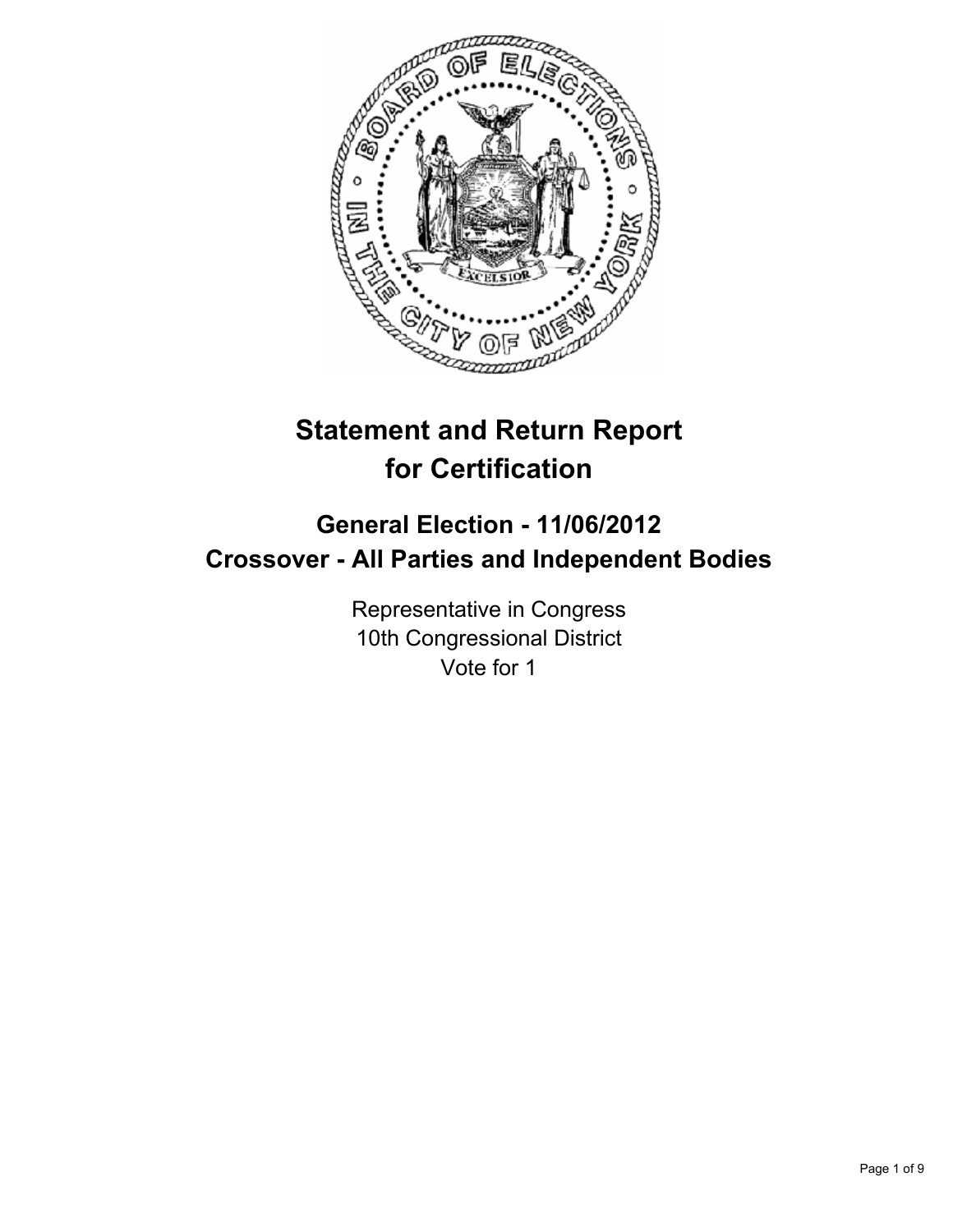

# **Statement and Return Report for Certification**

## **General Election - 11/06/2012 Crossover - All Parties and Independent Bodies**

Representative in Congress 10th Congressional District Vote for 1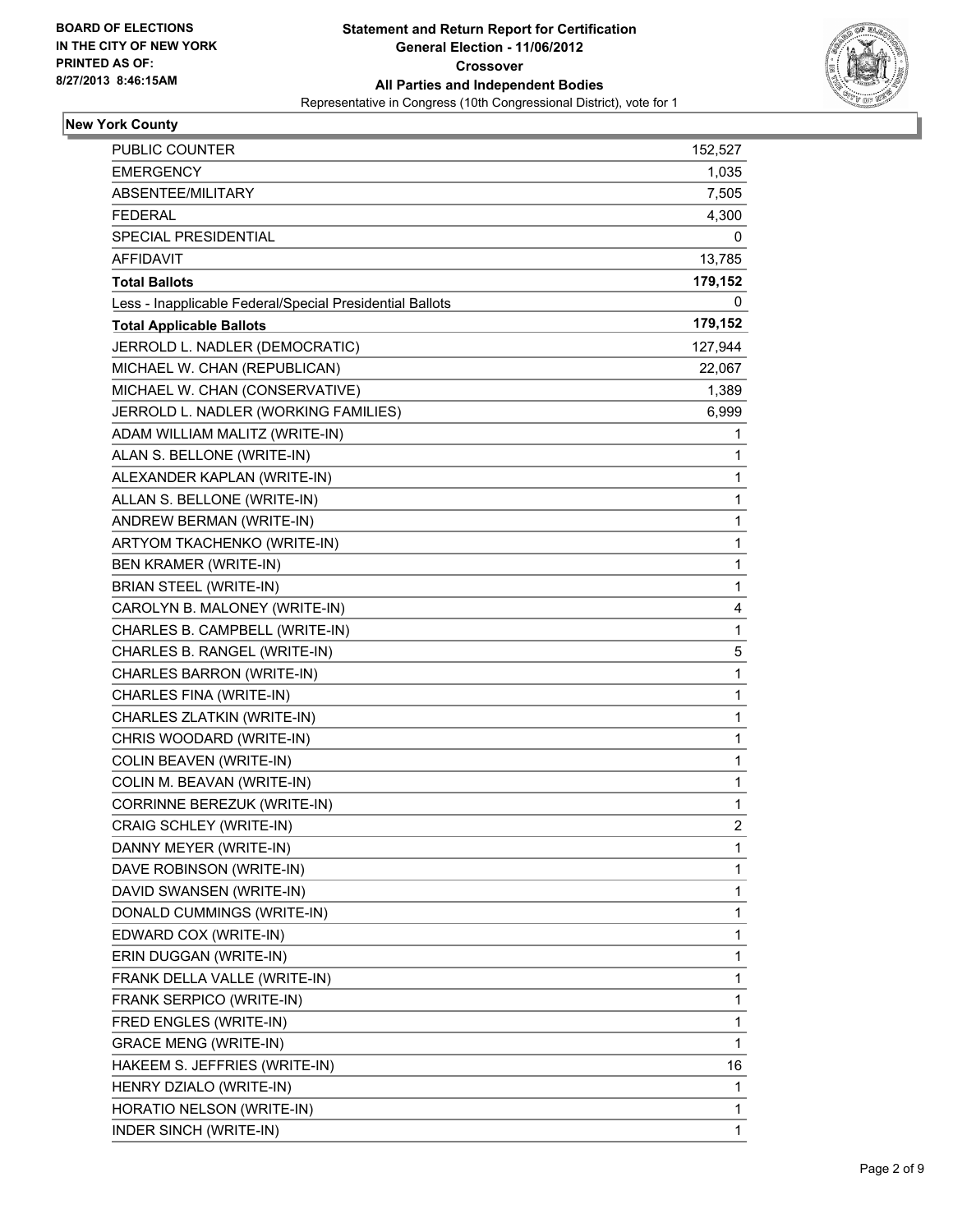

#### **New York County**

| PUBLIC COUNTER                                           | 152,527        |
|----------------------------------------------------------|----------------|
| EMERGENCY                                                | 1,035          |
| ABSENTEE/MILITARY                                        | 7,505          |
| <b>FEDERAL</b>                                           | 4,300          |
| SPECIAL PRESIDENTIAL                                     | 0              |
| AFFIDAVIT                                                | 13,785         |
| <b>Total Ballots</b>                                     | 179,152        |
| Less - Inapplicable Federal/Special Presidential Ballots | 0              |
| <b>Total Applicable Ballots</b>                          | 179,152        |
| JERROLD L. NADLER (DEMOCRATIC)                           | 127,944        |
| MICHAEL W. CHAN (REPUBLICAN)                             | 22,067         |
| MICHAEL W. CHAN (CONSERVATIVE)                           | 1,389          |
| JERROLD L. NADLER (WORKING FAMILIES)                     | 6,999          |
| ADAM WILLIAM MALITZ (WRITE-IN)                           | 1              |
| ALAN S. BELLONE (WRITE-IN)                               | 1              |
| ALEXANDER KAPLAN (WRITE-IN)                              | 1              |
| ALLAN S. BELLONE (WRITE-IN)                              | 1              |
| ANDREW BERMAN (WRITE-IN)                                 | 1              |
| ARTYOM TKACHENKO (WRITE-IN)                              | 1              |
| <b>BEN KRAMER (WRITE-IN)</b>                             | 1              |
| BRIAN STEEL (WRITE-IN)                                   | 1              |
| CAROLYN B. MALONEY (WRITE-IN)                            | 4              |
| CHARLES B. CAMPBELL (WRITE-IN)                           | 1              |
| CHARLES B. RANGEL (WRITE-IN)                             | 5              |
| CHARLES BARRON (WRITE-IN)                                | 1              |
| CHARLES FINA (WRITE-IN)                                  | 1              |
| CHARLES ZLATKIN (WRITE-IN)                               | 1              |
| CHRIS WOODARD (WRITE-IN)                                 | 1              |
| COLIN BEAVEN (WRITE-IN)                                  | 1              |
| COLIN M. BEAVAN (WRITE-IN)                               | 1              |
| CORRINNE BEREZUK (WRITE-IN)                              | 1              |
| <b>CRAIG SCHLEY (WRITE-IN)</b>                           | $\overline{2}$ |
| DANNY MEYER (WRITE-IN)                                   | 1              |
| DAVE ROBINSON (WRITE-IN)                                 | 1              |
| DAVID SWANSEN (WRITE-IN)                                 | 1              |
| DONALD CUMMINGS (WRITE-IN)                               | 1              |
| EDWARD COX (WRITE-IN)                                    | 1              |
| ERIN DUGGAN (WRITE-IN)                                   | 1              |
| FRANK DELLA VALLE (WRITE-IN)                             | 1              |
| FRANK SERPICO (WRITE-IN)                                 | 1              |
| FRED ENGLES (WRITE-IN)                                   | 1              |
| <b>GRACE MENG (WRITE-IN)</b>                             | 1              |
| HAKEEM S. JEFFRIES (WRITE-IN)                            | 16             |
| HENRY DZIALO (WRITE-IN)                                  | 1              |
| HORATIO NELSON (WRITE-IN)                                | 1              |
| INDER SINCH (WRITE-IN)                                   | 1              |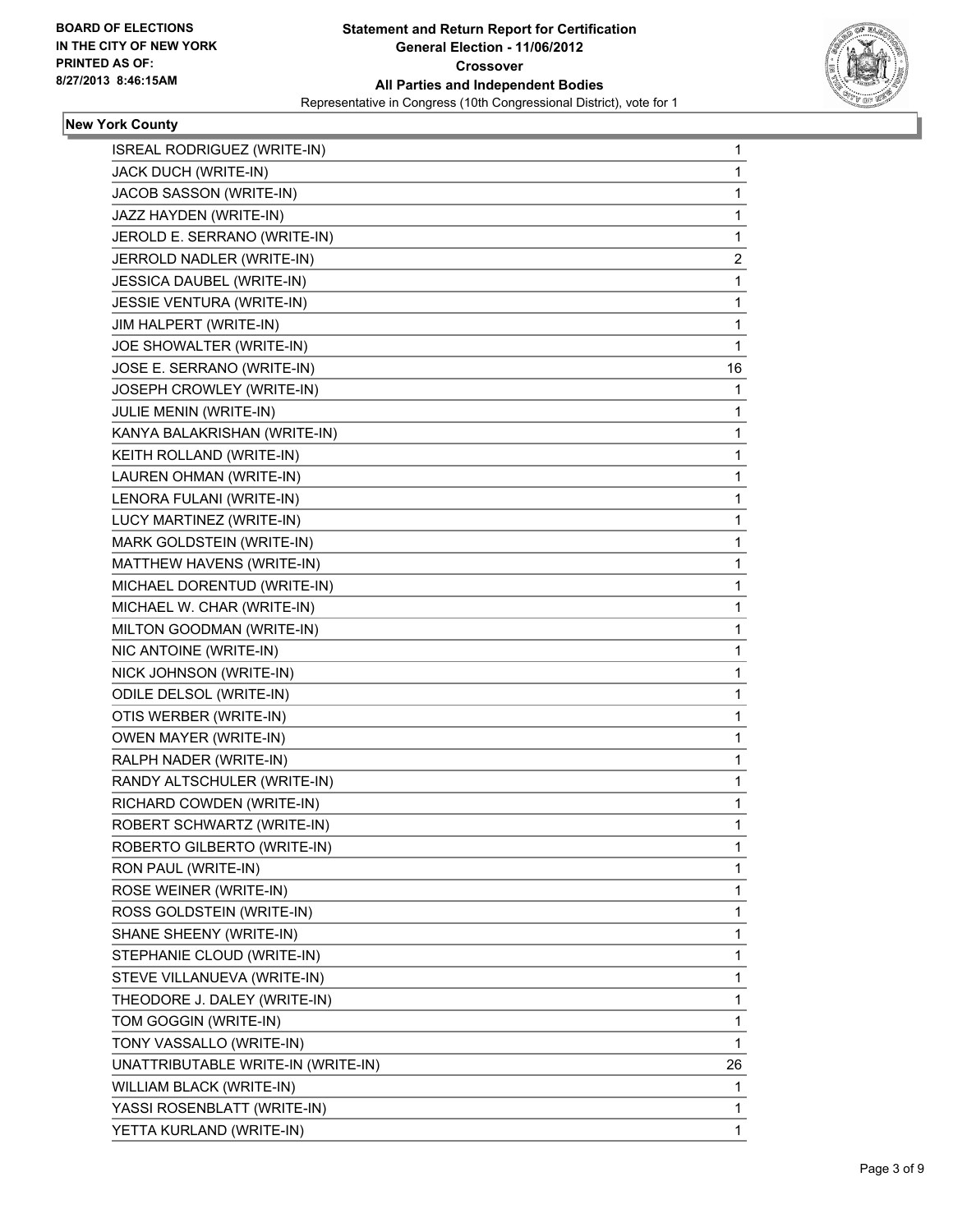

#### **New York County**

| ISREAL RODRIGUEZ (WRITE-IN)        | 1  |
|------------------------------------|----|
| JACK DUCH (WRITE-IN)               | 1  |
| JACOB SASSON (WRITE-IN)            | 1  |
| JAZZ HAYDEN (WRITE-IN)             | 1  |
| JEROLD E. SERRANO (WRITE-IN)       | 1  |
| JERROLD NADLER (WRITE-IN)          | 2  |
| JESSICA DAUBEL (WRITE-IN)          | 1  |
| JESSIE VENTURA (WRITE-IN)          | 1  |
| JIM HALPERT (WRITE-IN)             | 1  |
| JOE SHOWALTER (WRITE-IN)           | 1  |
| JOSE E. SERRANO (WRITE-IN)         | 16 |
| JOSEPH CROWLEY (WRITE-IN)          | 1  |
| JULIE MENIN (WRITE-IN)             | 1  |
| KANYA BALAKRISHAN (WRITE-IN)       | 1  |
| KEITH ROLLAND (WRITE-IN)           | 1  |
| LAUREN OHMAN (WRITE-IN)            | 1  |
| LENORA FULANI (WRITE-IN)           | 1  |
| LUCY MARTINEZ (WRITE-IN)           | 1  |
| MARK GOLDSTEIN (WRITE-IN)          | 1  |
| MATTHEW HAVENS (WRITE-IN)          | 1  |
| MICHAEL DORENTUD (WRITE-IN)        | 1  |
| MICHAEL W. CHAR (WRITE-IN)         | 1  |
| MILTON GOODMAN (WRITE-IN)          | 1  |
| NIC ANTOINE (WRITE-IN)             | 1  |
| NICK JOHNSON (WRITE-IN)            | 1  |
| ODILE DELSOL (WRITE-IN)            | 1  |
| OTIS WERBER (WRITE-IN)             | 1  |
| <b>OWEN MAYER (WRITE-IN)</b>       | 1  |
| RALPH NADER (WRITE-IN)             | 1  |
| RANDY ALTSCHULER (WRITE-IN)        | 1  |
| RICHARD COWDEN (WRITE-IN)          | 1  |
| ROBERT SCHWARTZ (WRITE-IN)         | 1  |
| ROBERTO GILBERTO (WRITE-IN)        | 1  |
| RON PAUL (WRITE-IN)                | 1  |
| ROSE WEINER (WRITE-IN)             | 1  |
| ROSS GOLDSTEIN (WRITE-IN)          | 1  |
| SHANE SHEENY (WRITE-IN)            | 1  |
| STEPHANIE CLOUD (WRITE-IN)         | 1  |
| STEVE VILLANUEVA (WRITE-IN)        | 1  |
| THEODORE J. DALEY (WRITE-IN)       | 1  |
| TOM GOGGIN (WRITE-IN)              | 1  |
| TONY VASSALLO (WRITE-IN)           | 1  |
| UNATTRIBUTABLE WRITE-IN (WRITE-IN) | 26 |
| WILLIAM BLACK (WRITE-IN)           | 1  |
| YASSI ROSENBLATT (WRITE-IN)        | 1  |
| YETTA KURLAND (WRITE-IN)           | 1  |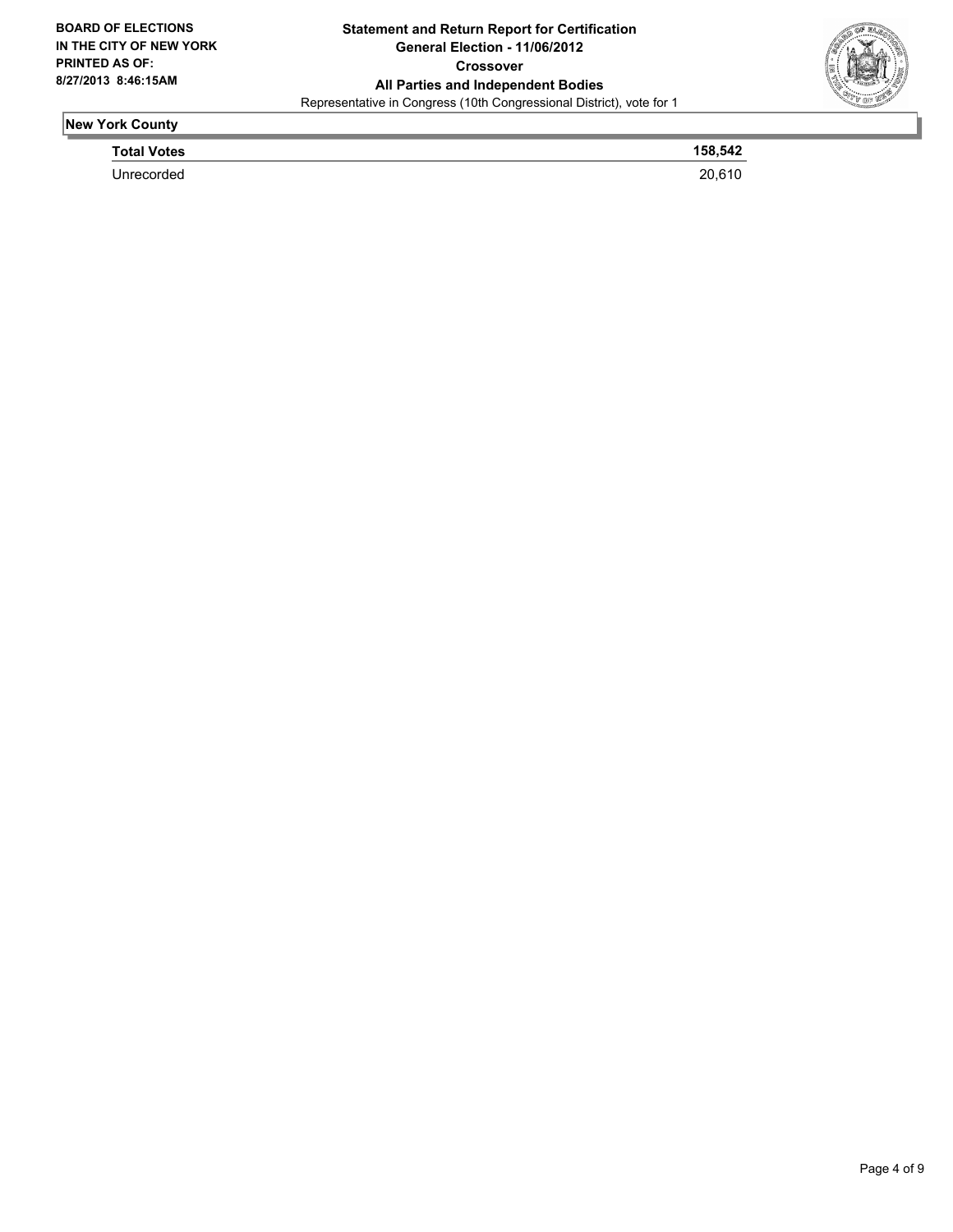

### **New York County**

| <b>Total Votes</b> | 158,542 |
|--------------------|---------|
| Unrecorded         | 20.610  |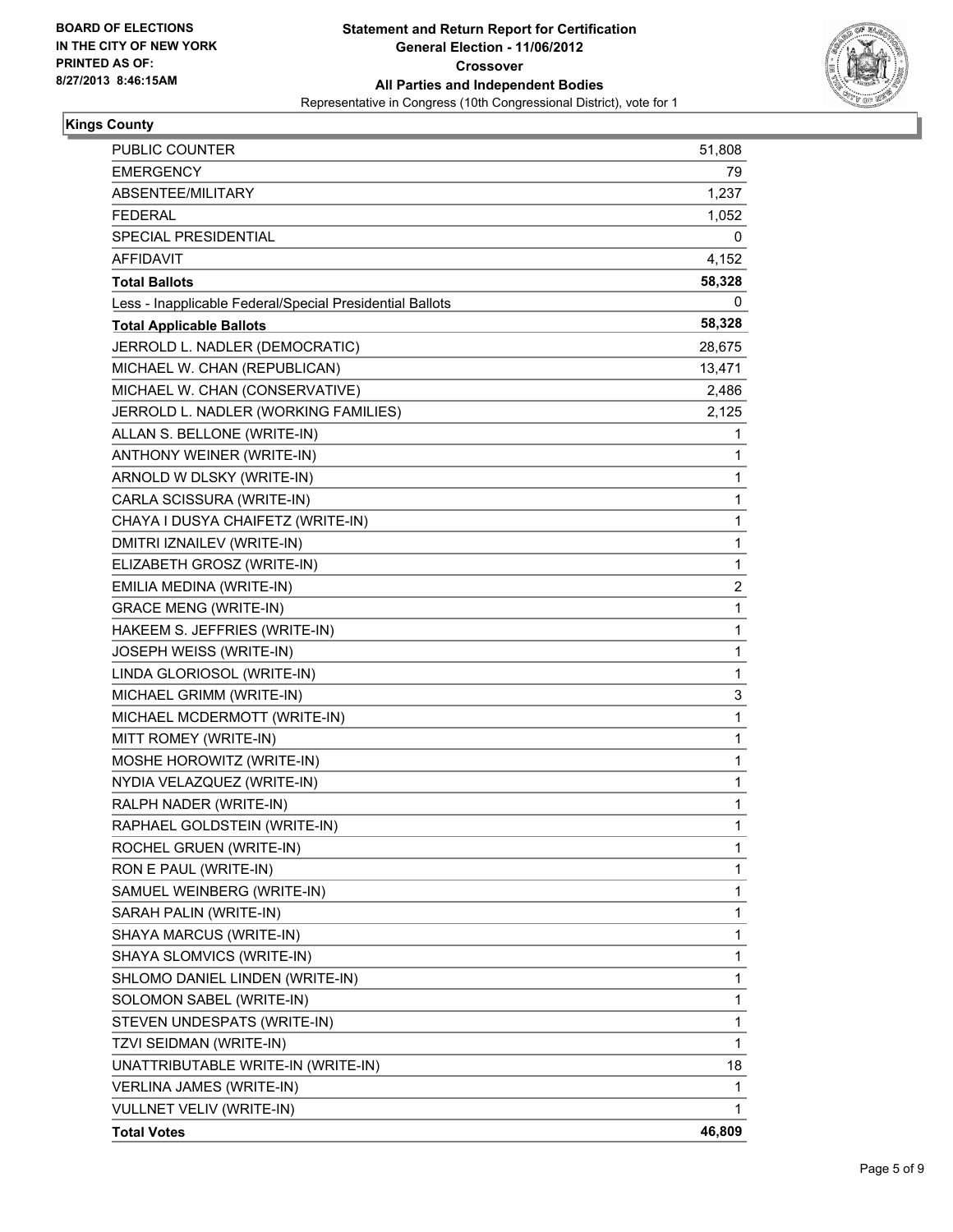

#### **Kings County**

| <b>PUBLIC COUNTER</b>                                    | 51,808       |
|----------------------------------------------------------|--------------|
| <b>EMERGENCY</b>                                         | 79           |
| ABSENTEE/MILITARY                                        | 1,237        |
| <b>FEDERAL</b>                                           | 1,052        |
| SPECIAL PRESIDENTIAL                                     | 0            |
| AFFIDAVIT                                                | 4,152        |
| <b>Total Ballots</b>                                     | 58,328       |
| Less - Inapplicable Federal/Special Presidential Ballots | 0            |
| <b>Total Applicable Ballots</b>                          | 58,328       |
| JERROLD L. NADLER (DEMOCRATIC)                           | 28,675       |
| MICHAEL W. CHAN (REPUBLICAN)                             | 13,471       |
| MICHAEL W. CHAN (CONSERVATIVE)                           | 2,486        |
| JERROLD L. NADLER (WORKING FAMILIES)                     | 2,125        |
| ALLAN S. BELLONE (WRITE-IN)                              | 1            |
| ANTHONY WEINER (WRITE-IN)                                | 1            |
| ARNOLD W DLSKY (WRITE-IN)                                | 1            |
| CARLA SCISSURA (WRITE-IN)                                | 1            |
| CHAYA I DUSYA CHAIFETZ (WRITE-IN)                        | 1            |
| DMITRI IZNAILEV (WRITE-IN)                               | 1            |
| ELIZABETH GROSZ (WRITE-IN)                               | 1            |
| EMILIA MEDINA (WRITE-IN)                                 | 2            |
| <b>GRACE MENG (WRITE-IN)</b>                             | 1            |
| HAKEEM S. JEFFRIES (WRITE-IN)                            | 1            |
| JOSEPH WEISS (WRITE-IN)                                  | 1            |
| LINDA GLORIOSOL (WRITE-IN)                               | 1            |
| MICHAEL GRIMM (WRITE-IN)                                 | 3            |
| MICHAEL MCDERMOTT (WRITE-IN)                             | $\mathbf{1}$ |
| MITT ROMEY (WRITE-IN)                                    | 1            |
| MOSHE HOROWITZ (WRITE-IN)                                | 1            |
| NYDIA VELAZQUEZ (WRITE-IN)                               | 1            |
| RALPH NADER (WRITE-IN)                                   | 1            |
| RAPHAEL GOLDSTEIN (WRITE-IN)                             | 1            |
| ROCHEL GRUEN (WRITE-IN)                                  | 1            |
| RON E PAUL (WRITE-IN)                                    | 1            |
| SAMUEL WEINBERG (WRITE-IN)                               | 1            |
| SARAH PALIN (WRITE-IN)                                   | 1            |
| SHAYA MARCUS (WRITE-IN)                                  | 1            |
| SHAYA SLOMVICS (WRITE-IN)                                | 1            |
| SHLOMO DANIEL LINDEN (WRITE-IN)                          | 1            |
| SOLOMON SABEL (WRITE-IN)                                 | 1            |
| STEVEN UNDESPATS (WRITE-IN)                              | 1            |
| TZVI SEIDMAN (WRITE-IN)                                  | 1            |
| UNATTRIBUTABLE WRITE-IN (WRITE-IN)                       | 18           |
| VERLINA JAMES (WRITE-IN)                                 | 1            |
| <b>VULLNET VELIV (WRITE-IN)</b>                          | 1.           |
| <b>Total Votes</b>                                       | 46,809       |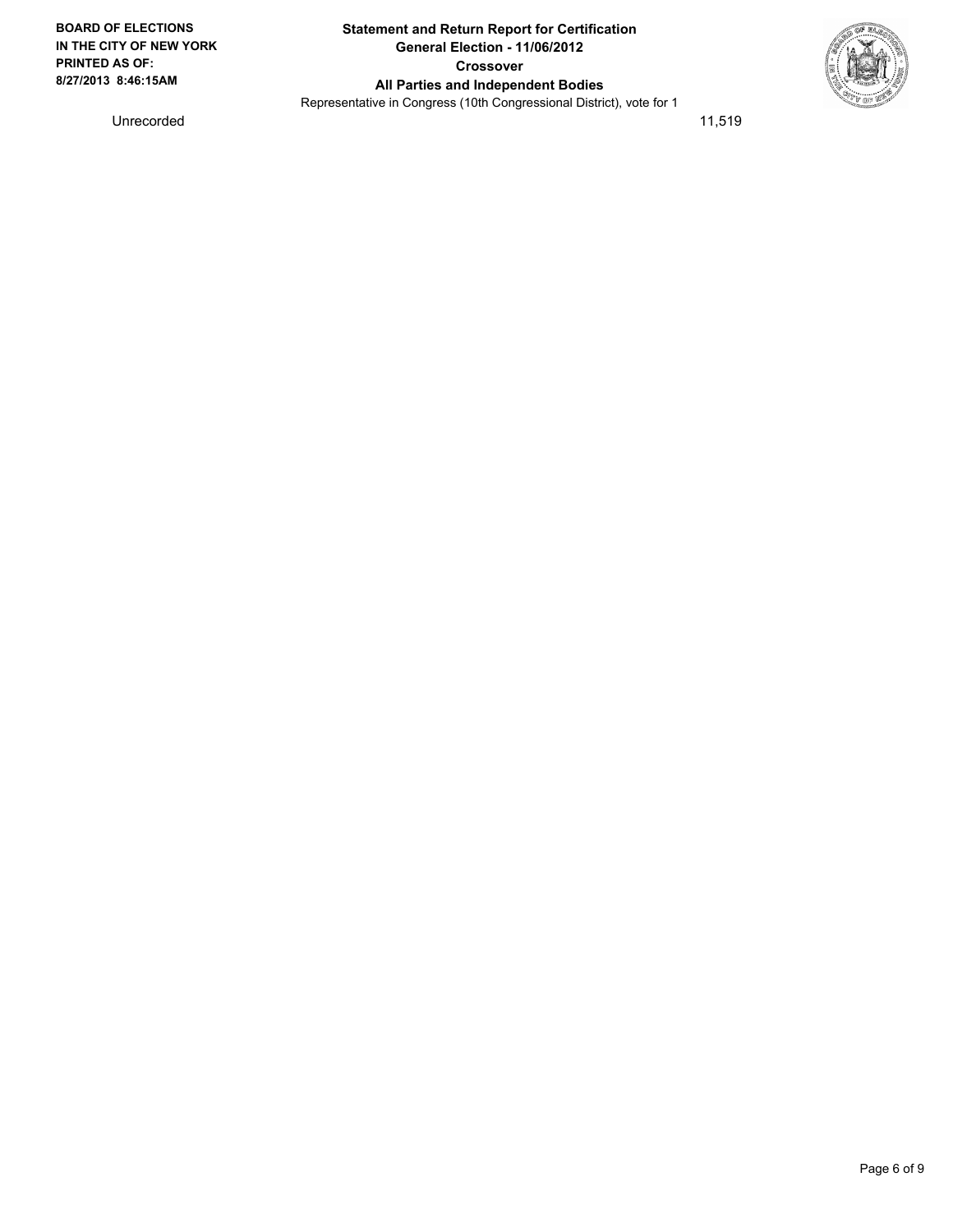Unrecorded 11,519

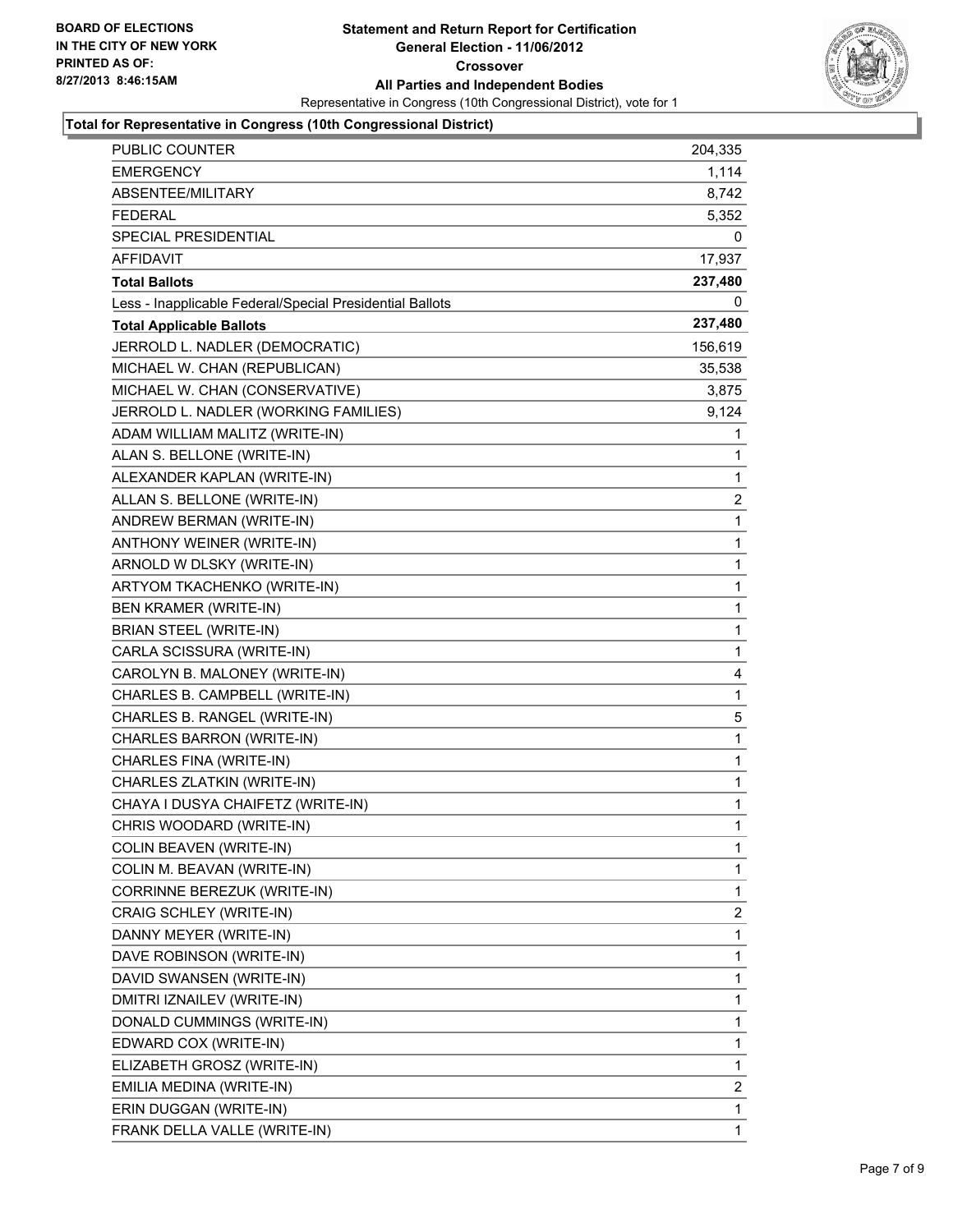

#### **Total for Representative in Congress (10th Congressional District)**

| PUBLIC COUNTER                                           | 204,335     |
|----------------------------------------------------------|-------------|
| <b>EMERGENCY</b>                                         | 1,114       |
| ABSENTEE/MILITARY                                        | 8,742       |
| <b>FEDERAL</b>                                           | 5,352       |
| SPECIAL PRESIDENTIAL                                     | 0           |
| <b>AFFIDAVIT</b>                                         | 17,937      |
| <b>Total Ballots</b>                                     | 237,480     |
| Less - Inapplicable Federal/Special Presidential Ballots | 0           |
| <b>Total Applicable Ballots</b>                          | 237,480     |
| JERROLD L. NADLER (DEMOCRATIC)                           | 156,619     |
| MICHAEL W. CHAN (REPUBLICAN)                             | 35,538      |
| MICHAEL W. CHAN (CONSERVATIVE)                           | 3,875       |
| JERROLD L. NADLER (WORKING FAMILIES)                     | 9,124       |
| ADAM WILLIAM MALITZ (WRITE-IN)                           | 1           |
| ALAN S. BELLONE (WRITE-IN)                               | 1           |
| ALEXANDER KAPLAN (WRITE-IN)                              | 1           |
| ALLAN S. BELLONE (WRITE-IN)                              | 2           |
| ANDREW BERMAN (WRITE-IN)                                 | 1           |
| ANTHONY WEINER (WRITE-IN)                                | 1           |
| ARNOLD W DLSKY (WRITE-IN)                                | $\mathbf 1$ |
| ARTYOM TKACHENKO (WRITE-IN)                              | 1           |
| <b>BEN KRAMER (WRITE-IN)</b>                             | 1           |
| BRIAN STEEL (WRITE-IN)                                   | 1           |
| CARLA SCISSURA (WRITE-IN)                                | $\mathbf 1$ |
| CAROLYN B. MALONEY (WRITE-IN)                            | 4           |
| CHARLES B. CAMPBELL (WRITE-IN)                           | 1           |
| CHARLES B. RANGEL (WRITE-IN)                             | 5           |
| CHARLES BARRON (WRITE-IN)                                | 1           |
| CHARLES FINA (WRITE-IN)                                  | 1           |
| CHARLES ZLATKIN (WRITE-IN)                               | 1           |
| CHAYA I DUSYA CHAIFETZ (WRITE-IN)                        | 1           |
| CHRIS WOODARD (WRITE-IN)                                 | 1           |
| COLIN BEAVEN (WRITE-IN)                                  | 1           |
| COLIN M. BEAVAN (WRITE-IN)                               | 1           |
| CORRINNE BEREZUK (WRITE-IN)                              | 1           |
| CRAIG SCHLEY (WRITE-IN)                                  | 2           |
| DANNY MEYER (WRITE-IN)                                   | 1           |
| DAVE ROBINSON (WRITE-IN)                                 | 1           |
| DAVID SWANSEN (WRITE-IN)                                 | 1           |
| DMITRI IZNAILEV (WRITE-IN)                               | 1           |
| DONALD CUMMINGS (WRITE-IN)                               | 1           |
| EDWARD COX (WRITE-IN)                                    | 1           |
| ELIZABETH GROSZ (WRITE-IN)                               | 1           |
| EMILIA MEDINA (WRITE-IN)                                 | 2           |
| ERIN DUGGAN (WRITE-IN)                                   | 1           |
| FRANK DELLA VALLE (WRITE-IN)                             | 1           |
|                                                          |             |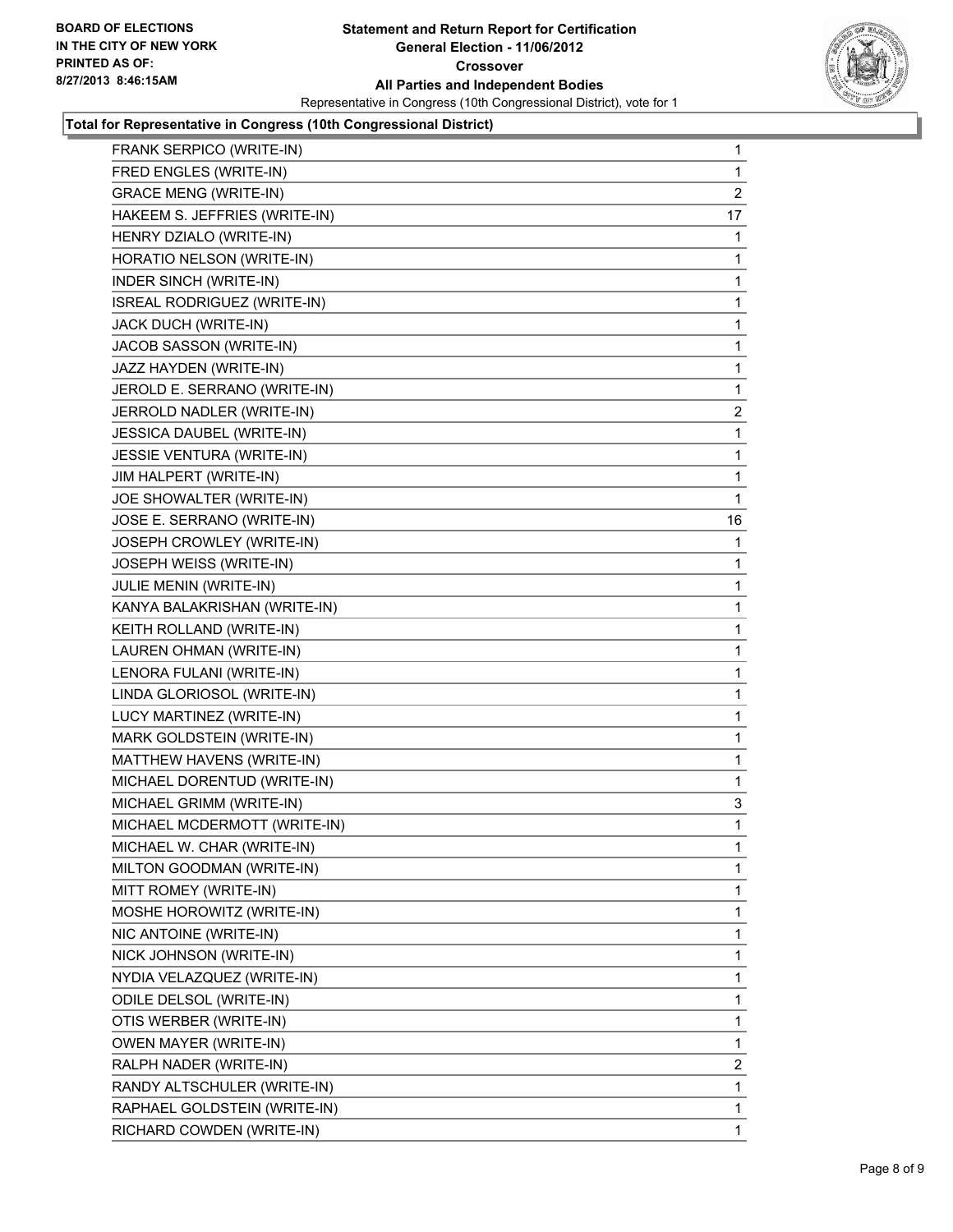

#### **Total for Representative in Congress (10th Congressional District)**

| FRANK SERPICO (WRITE-IN)         | 1              |
|----------------------------------|----------------|
| FRED ENGLES (WRITE-IN)           | 1              |
| <b>GRACE MENG (WRITE-IN)</b>     | $\overline{2}$ |
| HAKEEM S. JEFFRIES (WRITE-IN)    | 17             |
| HENRY DZIALO (WRITE-IN)          | 1              |
| HORATIO NELSON (WRITE-IN)        | 1              |
| <b>INDER SINCH (WRITE-IN)</b>    | 1              |
| ISREAL RODRIGUEZ (WRITE-IN)      | 1              |
| JACK DUCH (WRITE-IN)             | 1              |
| JACOB SASSON (WRITE-IN)          | 1              |
| JAZZ HAYDEN (WRITE-IN)           | 1              |
| JEROLD E. SERRANO (WRITE-IN)     | 1              |
| JERROLD NADLER (WRITE-IN)        | $\mathbf{2}$   |
| JESSICA DAUBEL (WRITE-IN)        | 1              |
| <b>JESSIE VENTURA (WRITE-IN)</b> | 1              |
| JIM HALPERT (WRITE-IN)           | 1              |
| JOE SHOWALTER (WRITE-IN)         | 1              |
| JOSE E. SERRANO (WRITE-IN)       | 16             |
| JOSEPH CROWLEY (WRITE-IN)        | 1              |
| JOSEPH WEISS (WRITE-IN)          | 1              |
| JULIE MENIN (WRITE-IN)           | 1              |
| KANYA BALAKRISHAN (WRITE-IN)     | 1              |
| KEITH ROLLAND (WRITE-IN)         | 1              |
| LAUREN OHMAN (WRITE-IN)          | 1              |
| LENORA FULANI (WRITE-IN)         | 1              |
| LINDA GLORIOSOL (WRITE-IN)       | 1              |
| LUCY MARTINEZ (WRITE-IN)         | 1              |
| MARK GOLDSTEIN (WRITE-IN)        | 1              |
| MATTHEW HAVENS (WRITE-IN)        | 1              |
| MICHAEL DORENTUD (WRITE-IN)      | 1              |
| MICHAEL GRIMM (WRITE-IN)         | 3              |
| MICHAEL MCDERMOTT (WRITE-IN)     | $\mathbf{1}$   |
| MICHAEL W. CHAR (WRITE-IN)       | 1              |
| MILTON GOODMAN (WRITE-IN)        | 1              |
| MITT ROMEY (WRITE-IN)            | 1              |
| MOSHE HOROWITZ (WRITE-IN)        | 1              |
| NIC ANTOINE (WRITE-IN)           | 1              |
| NICK JOHNSON (WRITE-IN)          | 1              |
| NYDIA VELAZQUEZ (WRITE-IN)       | 1              |
| ODILE DELSOL (WRITE-IN)          | 1              |
| OTIS WERBER (WRITE-IN)           | 1              |
| <b>OWEN MAYER (WRITE-IN)</b>     | 1              |
| RALPH NADER (WRITE-IN)           | 2              |
| RANDY ALTSCHULER (WRITE-IN)      | 1              |
| RAPHAEL GOLDSTEIN (WRITE-IN)     | 1              |
| RICHARD COWDEN (WRITE-IN)        | 1.             |